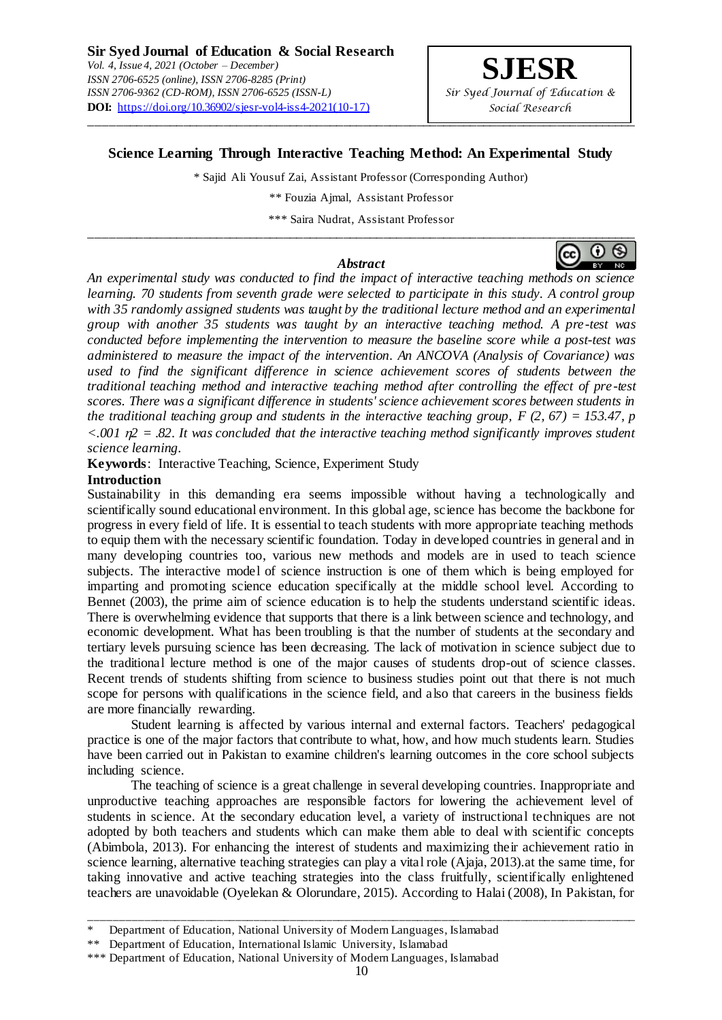# **Science Learning Through Interactive Teaching Method: An Experimental Study**

\_\_\_\_\_\_\_\_\_\_\_\_\_\_\_\_\_\_\_\_\_\_\_\_\_\_\_\_\_\_\_\_\_\_\_\_\_\_\_\_\_\_\_\_\_\_\_\_\_\_\_\_\_\_\_\_\_\_\_\_\_\_\_\_\_\_\_\_\_\_\_\_\_\_\_\_\_\_\_\_\_\_

\* Sajid Ali Yousuf Zai, Assistant Professor (Corresponding Author)

\*\* Fouzia Ajmal, Assistant Professor

\*\*\* Saira Nudrat, Assistant Professor \_\_\_\_\_\_\_\_\_\_\_\_\_\_\_\_\_\_\_\_\_\_\_\_\_\_\_\_\_\_\_\_\_\_\_\_\_\_\_\_\_\_\_\_\_\_\_\_\_\_\_\_\_\_\_\_\_\_\_\_\_\_\_\_\_\_\_\_\_\_\_\_\_\_\_\_\_\_\_\_\_\_

#### *Abstract*



*science learning.* **Keywords**: Interactive Teaching, Science, Experiment Study

# **Introduction**

Sustainability in this demanding era seems impossible without having a technologically and scientifically sound educational environment. In this global age, science has become the backbone for progress in every field of life. It is essential to teach students with more appropriate teaching methods to equip them with the necessary scientific foundation. Today in developed countries in general and in many developing countries too, various new methods and models are in used to teach science subjects. The interactive model of science instruction is one of them which is being employed for imparting and promoting science education specifically at the middle school level. According to Bennet (2003), the prime aim of science education is to help the students understand scientific ideas. There is overwhelming evidence that supports that there is a link between science and technology, and economic development. What has been troubling is that the number of students at the secondary and tertiary levels pursuing science has been decreasing. The lack of motivation in science subject due to the traditional lecture method is one of the major causes of students drop-out of science classes. Recent trends of students shifting from science to business studies point out that there is not much scope for persons with qualifications in the science field, and also that careers in the business fields are more financially rewarding.

 $\leq 0.001$   $n^2 = 0.82$ . It was concluded that the interactive teaching method significantly improves student

Student learning is affected by various internal and external factors. Teachers' pedagogical practice is one of the major factors that contribute to what, how, and how much students learn. Studies have been carried out in Pakistan to examine children's learning outcomes in the core school subjects including science.

The teaching of science is a great challenge in several developing countries. Inappropriate and unproductive teaching approaches are responsible factors for lowering the achievement level of students in science. At the secondary education level, a variety of instructional techniques are not adopted by both teachers and students which can make them able to deal with scientific concepts (Abimbola, 2013). For enhancing the interest of students and maximizing their achievement ratio in science learning, alternative teaching strategies can play a vital role (Ajaja, 2013).at the same time, for taking innovative and active teaching strategies into the class fruitfully, scientifically enlightened teachers are unavoidable (Oyelekan & Olorundare, 2015). According to Halai (2008), In Pakistan, for

\_\_\_\_\_\_\_\_\_\_\_\_\_\_\_\_\_\_\_\_\_\_\_\_\_\_\_\_\_\_\_\_\_\_\_\_\_\_\_\_\_\_\_\_\_\_\_\_\_\_\_\_\_\_\_\_\_\_\_\_\_\_\_\_\_\_\_\_\_\_\_\_\_\_\_\_\_\_\_\_\_\_\_\_\_\_\_\_\_\_



Department of Education, National University of Modern Languages, Islamabad

<sup>\*\*</sup> Department of Education, International Islamic University, Islamabad

<sup>\*\*\*</sup> Department of Education, National University of Modern Languages, Islamabad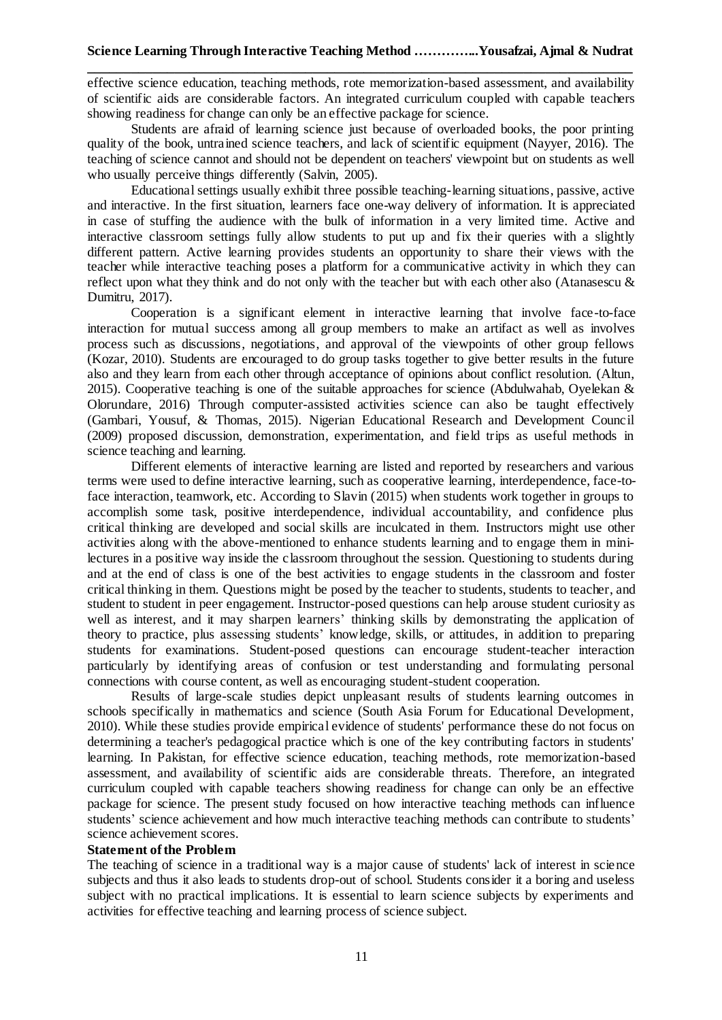effective science education, teaching methods, rote memorization-based assessment, and availability of scientific aids are considerable factors. An integrated curriculum coupled with capable teachers showing readiness for change can only be an effective package for science.

Students are afraid of learning science just because of overloaded books, the poor printing quality of the book, untrained science teachers, and lack of scientific equipment (Nayyer, 2016). The teaching of science cannot and should not be dependent on teachers' viewpoint but on students as well who usually perceive things differently (Salvin, 2005).

Educational settings usually exhibit three possible teaching-learning situations, passive, active and interactive. In the first situation, learners face one-way delivery of information. It is appreciated in case of stuffing the audience with the bulk of information in a very limited time. Active and interactive classroom settings fully allow students to put up and fix their queries with a slightly different pattern. Active learning provides students an opportunity to share their views with the teacher while interactive teaching poses a platform for a communicative activity in which they can reflect upon what they think and do not only with the teacher but with each other also (Atanasescu & Dumitru, 2017).

Cooperation is a significant element in interactive learning that involve face-to-face interaction for mutual success among all group members to make an artifact as well as involves process such as discussions, negotiations, and approval of the viewpoints of other group fellows (Kozar, 2010). Students are encouraged to do group tasks together to give better results in the future also and they learn from each other through acceptance of opinions about conflict resolution. (Altun, 2015). Cooperative teaching is one of the suitable approaches for science (Abdulwahab, Oyelekan & Olorundare, 2016) Through computer-assisted activities science can also be taught effectively (Gambari, Yousuf, & Thomas, 2015). Nigerian Educational Research and Development Council (2009) proposed discussion, demonstration, experimentation, and field trips as useful methods in science teaching and learning.

Different elements of interactive learning are listed and reported by researchers and various terms were used to define interactive learning, such as cooperative learning, interdependence, face-toface interaction, teamwork, etc. According to Slavin (2015) when students work together in groups to accomplish some task, positive interdependence, individual accountability, and confidence plus critical thinking are developed and social skills are inculcated in them. Instructors might use other activities along with the above-mentioned to enhance students learning and to engage them in minilectures in a positive way inside the classroom throughout the session. Questioning to students during and at the end of class is one of the best activities to engage students in the classroom and foster critical thinking in them. Questions might be posed by the teacher to students, students to teacher, and student to student in peer engagement. Instructor-posed questions can help arouse student curiosity as well as interest, and it may sharpen learners' thinking skills by demonstrating the application of theory to practice, plus assessing students' knowledge, skills, or attitudes, in addition to preparing students for examinations. Student-posed questions can encourage student-teacher interaction particularly by identifying areas of confusion or test understanding and formulating personal connections with course content, as well as encouraging student-student cooperation.

Results of large-scale studies depict unpleasant results of students learning outcomes in schools specifically in mathematics and science (South Asia Forum for Educational Development, 2010). While these studies provide empirical evidence of students' performance these do not focus on determining a teacher's pedagogical practice which is one of the key contributing factors in students' learning. In Pakistan, for effective science education, teaching methods, rote memorization-based assessment, and availability of scientific aids are considerable threats. Therefore, an integrated curriculum coupled with capable teachers showing readiness for change can only be an effective package for science. The present study focused on how interactive teaching methods can influence students' science achievement and how much interactive teaching methods can contribute to students' science achievement scores.

#### **Statement of the Problem**

The teaching of science in a traditional way is a major cause of students' lack of interest in science subjects and thus it also leads to students drop-out of school. Students consider it a boring and useless subject with no practical implications. It is essential to learn science subjects by experiments and activities for effective teaching and learning process of science subject.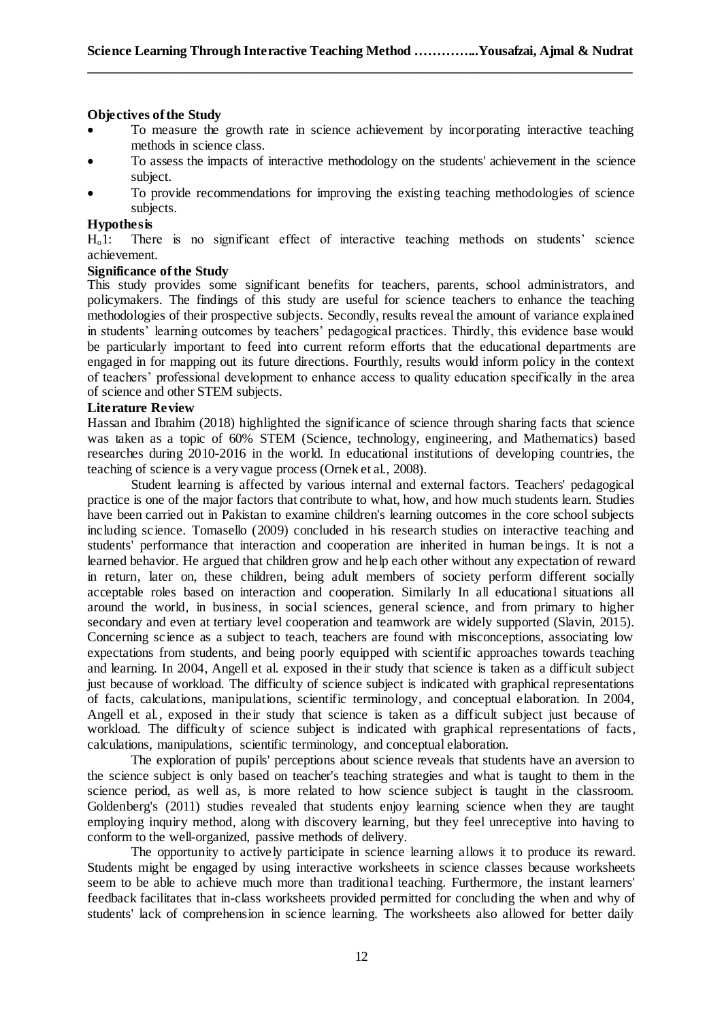## **Objectives of the Study**

- To measure the growth rate in science achievement by incorporating interactive teaching methods in science class.
- To assess the impacts of interactive methodology on the students' achievement in the science subject.
- To provide recommendations for improving the existing teaching methodologies of science subjects.

# **Hypothesis**

Ho1: There is no significant effect of interactive teaching methods on students' science achievement.

## **Significance of the Study**

This study provides some significant benefits for teachers, parents, school administrators, and policymakers. The findings of this study are useful for science teachers to enhance the teaching methodologies of their prospective subjects. Secondly, results reveal the amount of variance explained in students' learning outcomes by teachers' pedagogical practices. Thirdly, this evidence base would be particularly important to feed into current reform efforts that the educational departments are engaged in for mapping out its future directions. Fourthly, results would inform policy in the context of teachers' professional development to enhance access to quality education specifically in the area of science and other STEM subjects.

## **Literature Review**

Hassan and Ibrahim (2018) highlighted the significance of science through sharing facts that science was taken as a topic of 60% STEM (Science, technology, engineering, and Mathematics) based researches during 2010-2016 in the world. In educational institutions of developing countries, the teaching of science is a very vague process (Ornek et al., 2008).

Student learning is affected by various internal and external factors. Teachers' pedagogical practice is one of the major factors that contribute to what, how, and how much students learn. Studies have been carried out in Pakistan to examine children's learning outcomes in the core school subjects including science. Tomasello (2009) concluded in his research studies on interactive teaching and students' performance that interaction and cooperation are inherited in human beings. It is not a learned behavior. He argued that children grow and help each other without any expectation of reward in return, later on, these children, being adult members of society perform different socially acceptable roles based on interaction and cooperation. Similarly In all educational situations all around the world, in business, in social sciences, general science, and from primary to higher secondary and even at tertiary level cooperation and teamwork are widely supported (Slavin, 2015). Concerning science as a subject to teach, teachers are found with misconceptions, associating low expectations from students, and being poorly equipped with scientific approaches towards teaching and learning. In 2004, Angell et al. exposed in their study that science is taken as a difficult subject just because of workload. The difficulty of science subject is indicated with graphical representations of facts, calculations, manipulations, scientific terminology, and conceptual elaboration. In 2004, Angell et al., exposed in their study that science is taken as a difficult subject just because of workload. The difficulty of science subject is indicated with graphical representations of facts, calculations, manipulations, scientific terminology, and conceptual elaboration.

The exploration of pupils' perceptions about science reveals that students have an aversion to the science subject is only based on teacher's teaching strategies and what is taught to them in the science period, as well as, is more related to how science subject is taught in the classroom. Goldenberg's (2011) studies revealed that students enjoy learning science when they are taught employing inquiry method, along with discovery learning, but they feel unreceptive into having to conform to the well-organized, passive methods of delivery.

The opportunity to actively participate in science learning allows it to produce its reward. Students might be engaged by using interactive worksheets in science classes because worksheets seem to be able to achieve much more than traditional teaching. Furthermore, the instant learners' feedback facilitates that in-class worksheets provided permitted for concluding the when and why of students' lack of comprehension in science learning. The worksheets also allowed for better daily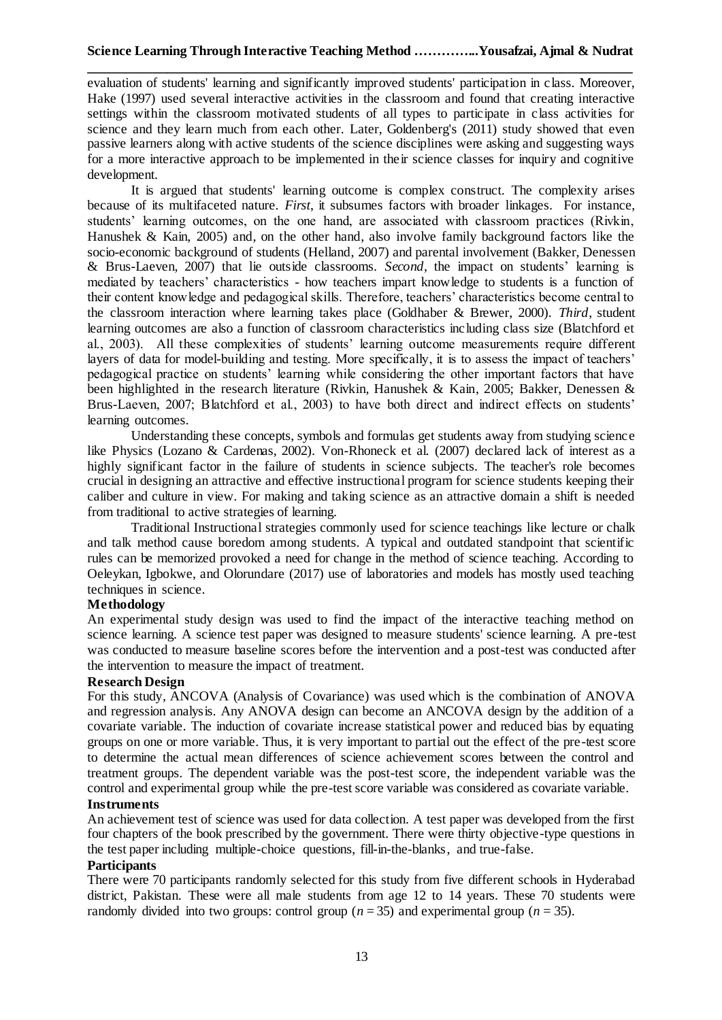evaluation of students' learning and significantly improved students' participation in class. Moreover, Hake (1997) used several interactive activities in the classroom and found that creating interactive settings within the classroom motivated students of all types to participate in class activities for science and they learn much from each other. Later, Goldenberg's (2011) study showed that even passive learners along with active students of the science disciplines were asking and suggesting ways for a more interactive approach to be implemented in their science classes for inquiry and cognitive development.

It is argued that students' learning outcome is complex construct. The complexity arises because of its multifaceted nature. *First*, it subsumes factors with broader linkages. For instance, students' learning outcomes, on the one hand, are associated with classroom practices (Rivkin, Hanushek & Kain, 2005) and, on the other hand, also involve family background factors like the socio-economic background of students (Helland, 2007) and parental involvement (Bakker, Denessen & Brus-Laeven, 2007) that lie outside classrooms. *Second*, the impact on students' learning is mediated by teachers' characteristics - how teachers impart knowledge to students is a function of their content knowledge and pedagogical skills. Therefore, teachers' characteristics become central to the classroom interaction where learning takes place (Goldhaber & Brewer, 2000). *Third*, student learning outcomes are also a function of classroom characteristics including class size (Blatchford et al., 2003). All these complexities of students' learning outcome measurements require different layers of data for model-building and testing. More specifically, it is to assess the impact of teachers' pedagogical practice on students' learning while considering the other important factors that have been highlighted in the research literature (Rivkin, Hanushek & Kain, 2005; Bakker, Denessen & Brus-Laeven, 2007; Blatchford et al., 2003) to have both direct and indirect effects on students' learning outcomes.

Understanding these concepts, symbols and formulas get students away from studying science like Physics (Lozano & Cardenas, 2002). Von-Rhoneck et al. (2007) declared lack of interest as a highly significant factor in the failure of students in science subjects. The teacher's role becomes crucial in designing an attractive and effective instructional program for science students keeping their caliber and culture in view. For making and taking science as an attractive domain a shift is needed from traditional to active strategies of learning.

Traditional Instructional strategies commonly used for science teachings like lecture or chalk and talk method cause boredom among students. A typical and outdated standpoint that scientific rules can be memorized provoked a need for change in the method of science teaching. According to Oeleykan, Igbokwe, and Olorundare (2017) use of laboratories and models has mostly used teaching techniques in science.

# **Methodology**

An experimental study design was used to find the impact of the interactive teaching method on science learning. A science test paper was designed to measure students' science learning. A pre-test was conducted to measure baseline scores before the intervention and a post-test was conducted after the intervention to measure the impact of treatment.

# **Research Design**

For this study, ANCOVA (Analysis of Covariance) was used which is the combination of ANOVA and regression analysis. Any ANOVA design can become an ANCOVA design by the addition of a covariate variable. The induction of covariate increase statistical power and reduced bias by equating groups on one or more variable. Thus, it is very important to partial out the effect of the pre-test score to determine the actual mean differences of science achievement scores between the control and treatment groups. The dependent variable was the post-test score, the independent variable was the control and experimental group while the pre-test score variable was considered as covariate variable.

#### **Instruments**

An achievement test of science was used for data collection. A test paper was developed from the first four chapters of the book prescribed by the government. There were thirty objective-type questions in the test paper including multiple-choice questions, fill-in-the-blanks, and true-false.

## **Participants**

There were 70 participants randomly selected for this study from five different schools in Hyderabad district, Pakistan. These were all male students from age 12 to 14 years. These 70 students were randomly divided into two groups: control group  $(n = 35)$  and experimental group  $(n = 35)$ .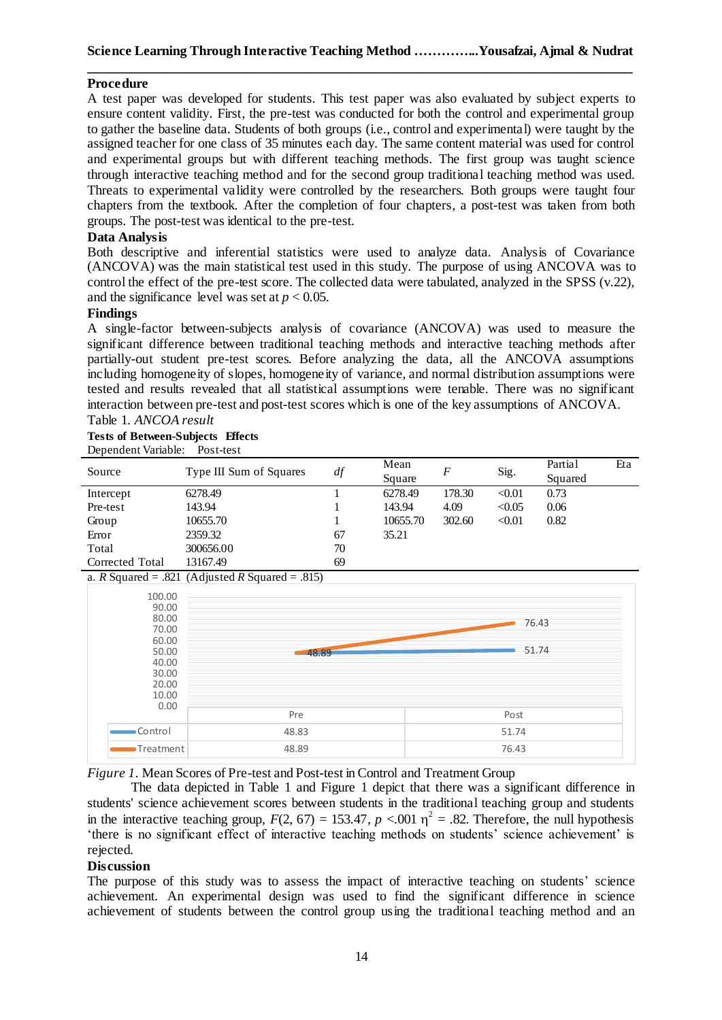## **Procedure**

A test paper was developed for students. This test paper was also evaluated by subject experts to ensure content validity. First, the pre-test was conducted for both the control and experimental group to gather the baseline data. Students of both groups (i.e., control and experimental) were taught by the assigned teacher for one class of 35 minutes each day. The same content material was used for control and experimental groups but with different teaching methods. The first group was taught science through interactive teaching method and for the second group traditional teaching method was used. Threats to experimental validity were controlled by the researchers. Both groups were taught four chapters from the textbook. After the completion of four chapters, a post-test was taken from both groups. The post-test was identical to the pre-test.

## **Data Analysis**

Both descriptive and inferential statistics were used to analyze data. Analysis of Covariance (ANCOVA) was the main statistical test used in this study. The purpose of using ANCOVA was to control the effect of the pre-test score. The collected data were tabulated, analyzed in the SPSS (v.22), and the significance level was set at  $p < 0.05$ .

#### **Findings**

A single-factor between-subjects analysis of covariance (ANCOVA) was used to measure the significant difference between traditional teaching methods and interactive teaching methods after partially-out student pre-test scores. Before analyzing the data, all the ANCOVA assumptions including homogeneity of slopes, homogeneity of variance, and normal distribution assumptions were tested and results revealed that all statistical assumptions were tenable. There was no significant interaction between pre-test and post-test scores which is one of the key assumptions of ANCOVA. Table 1. *ANCOA result*

# **Tests of Between-Subjects Effects**

Dependent Variable: Post-test

| Source          | Type III Sum of Squares | df | Mean     | F      | Sig.   | Partial | Eta |
|-----------------|-------------------------|----|----------|--------|--------|---------|-----|
|                 |                         |    | Square   |        |        | Squared |     |
| Intercept       | 6278.49                 |    | 6278.49  | 178.30 | < 0.01 | 0.73    |     |
| Pre-test        | 143.94                  |    | 143.94   | 4.09   | < 0.05 | 0.06    |     |
| Group           | 10655.70                |    | 10655.70 | 302.60 | < 0.01 | 0.82    |     |
| Error           | 2359.32                 | 67 | 35.21    |        |        |         |     |
| Total           | 300656.00               | 70 |          |        |        |         |     |
| Corrected Total | 13167.49                | 69 |          |        |        |         |     |

a. *R* Squared = .821 (Adjusted *R* Squared = .815)



*Figure 1.* Mean Scores of Pre-test and Post-test in Control and Treatment Group

The data depicted in Table 1 and Figure 1 depict that there was a significant difference in students' science achievement scores between students in the traditional teaching group and students in the interactive teaching group,  $F(2, 67) = 153.47$ ,  $p < .001$   $\eta^2 = .82$ . Therefore, the null hypothesis 'there is no significant effect of interactive teaching methods on students' science achievement' is rejected.

#### **Discussion**

The purpose of this study was to assess the impact of interactive teaching on students' science achievement. An experimental design was used to find the significant difference in science achievement of students between the control group using the traditional teaching method and an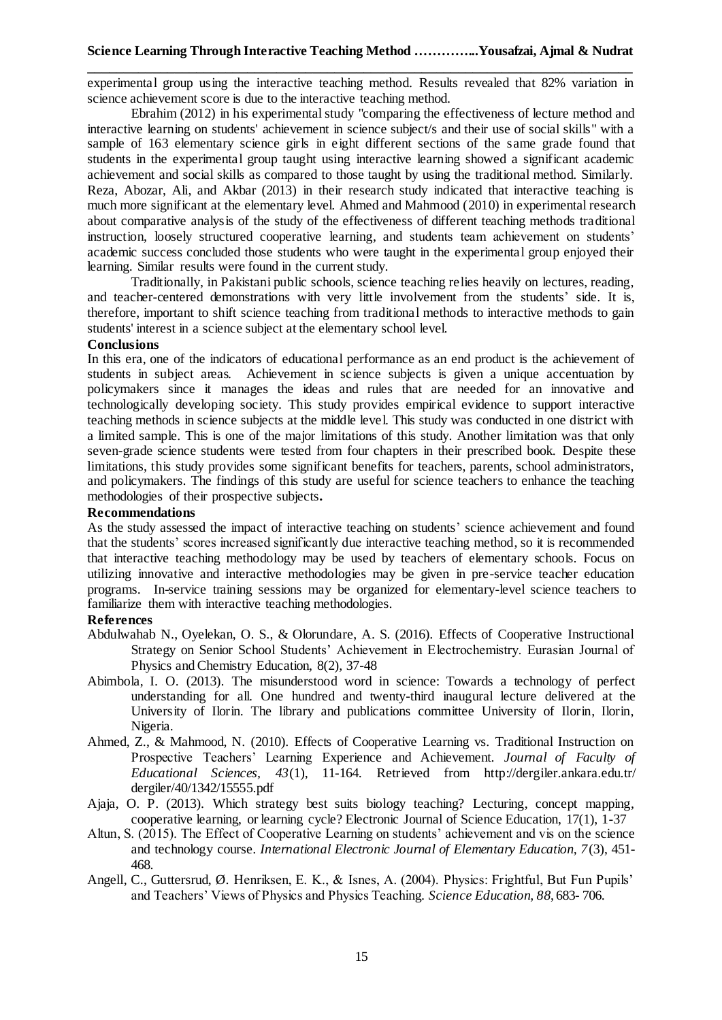experimental group using the interactive teaching method. Results revealed that 82% variation in science achievement score is due to the interactive teaching method.

Ebrahim (2012) in his experimental study "comparing the effectiveness of lecture method and interactive learning on students' achievement in science subject/s and their use of social skills" with a sample of 163 elementary science girls in eight different sections of the same grade found that students in the experimental group taught using interactive learning showed a significant academic achievement and social skills as compared to those taught by using the traditional method. Similarly. Reza, Abozar, Ali, and Akbar (2013) in their research study indicated that interactive teaching is much more significant at the elementary level. Ahmed and Mahmood (2010) in experimental research about comparative analysis of the study of the effectiveness of different teaching methods traditional instruction, loosely structured cooperative learning, and students team achievement on students' academic success concluded those students who were taught in the experimental group enjoyed their learning. Similar results were found in the current study.

Traditionally, in Pakistani public schools, science teaching relies heavily on lectures, reading, and teacher-centered demonstrations with very little involvement from the students' side. It is, therefore, important to shift science teaching from traditional methods to interactive methods to gain students' interest in a science subject at the elementary school level.

#### **Conclusions**

In this era, one of the indicators of educational performance as an end product is the achievement of students in subject areas. Achievement in science subjects is given a unique accentuation by policymakers since it manages the ideas and rules that are needed for an innovative and technologically developing society. This study provides empirical evidence to support interactive teaching methods in science subjects at the middle level. This study was conducted in one district with a limited sample. This is one of the major limitations of this study. Another limitation was that only seven-grade science students were tested from four chapters in their prescribed book. Despite these limitations, this study provides some significant benefits for teachers, parents, school administrators, and policymakers. The findings of this study are useful for science teachers to enhance the teaching methodologies of their prospective subjects**.**

#### **Recommendations**

As the study assessed the impact of interactive teaching on students' science achievement and found that the students' scores increased significantly due interactive teaching method, so it is recommended that interactive teaching methodology may be used by teachers of elementary schools. Focus on utilizing innovative and interactive methodologies may be given in pre-service teacher education programs. In-service training sessions may be organized for elementary-level science teachers to familiarize them with interactive teaching methodologies.

#### **References**

- Abdulwahab N., Oyelekan, O. S., & Olorundare, A. S. (2016). Effects of Cooperative Instructional Strategy on Senior School Students' Achievement in Electrochemistry. Eurasian Journal of Physics and Chemistry Education, 8(2), 37-48
- Abimbola, I. O. (2013). The misunderstood word in science: Towards a technology of perfect understanding for all. One hundred and twenty-third inaugural lecture delivered at the University of Ilorin. The library and publications committee University of Ilorin, Ilorin, Nigeria.
- Ahmed, Z., & Mahmood, N. (2010). Effects of Cooperative Learning vs. Traditional Instruction on Prospective Teachers' Learning Experience and Achievement. *Journal of Faculty of Educational Sciences, 43*(1), 11-164. Retrieved from [http://dergiler.ankara.edu.tr/](http://dergiler.ankara.edu.tr/dergiler/40/1342/15555.pdf) [dergiler/40/1342/15555.pdf](http://dergiler.ankara.edu.tr/dergiler/40/1342/15555.pdf)
- Ajaja, O. P. (2013). Which strategy best suits biology teaching? Lecturing, concept mapping, cooperative learning, or learning cycle? Electronic Journal of Science Education, 17(1), 1-37
- Altun, S. (2015). The Effect of Cooperative Learning on students' achievement and vis on the science and technology course. *International Electronic Journal of Elementary Education, 7*(3), 451- 468.
- Angell, C., Guttersrud, Ø. Henriksen, E. K., & Isnes, A. (2004). Physics: Frightful, But Fun Pupils' and Teachers' Views of Physics and Physics Teaching. *Science Education, 88*, 683- 706.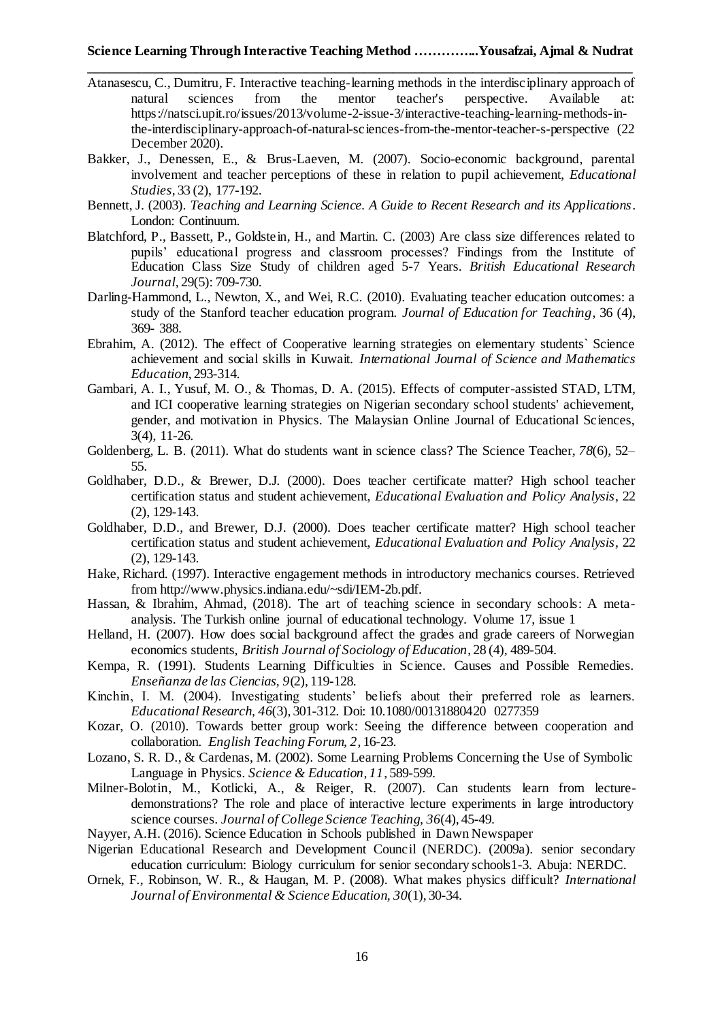- Atanasescu, C., Dumitru, F. Interactive teaching-learning methods in the interdisciplinary approach of natural sciences from the mentor teacher's perspective. Available [https://natsci.upit.ro/issues/2013/volume-2-issue-3/interactive-teaching-learning-methods-in](https://natsci.upit.ro/issues/2013/volume-2-issue-3/interactive-teaching-learning-methods-in-the-interdisciplinary-approach-of-natural-sciences-from-the-mentor-teacher-s-perspective)[the-interdisciplinary-approach-of-natural-sciences-from-the-mentor-teacher-s-perspective](https://natsci.upit.ro/issues/2013/volume-2-issue-3/interactive-teaching-learning-methods-in-the-interdisciplinary-approach-of-natural-sciences-from-the-mentor-teacher-s-perspective) (22 December 2020).
- Bakker, J., Denessen, E., & Brus-Laeven, M. (2007). Socio-economic background, parental involvement and teacher perceptions of these in relation to pupil achievement, *Educational Studies*, 33 (2), 177-192.
- Bennett, J. (2003). *Teaching and Learning Science. A Guide to Recent Research and its Applications*. London: Continuum.
- Blatchford, P., Bassett, P., Goldstein, H., and Martin. C. (2003) Are class size differences related to pupils' educational progress and classroom processes? Findings from the Institute of Education Class Size Study of children aged 5-7 Years. *British Educational Research Journal,* 29(5): 709-730.
- Darling-Hammond, L., Newton, X., and Wei, R.C. (2010). Evaluating teacher education outcomes: a study of the Stanford teacher education program. *Journal of Education for Teaching*, 36 (4), 369- 388.
- Ebrahim, A. (2012). The effect of Cooperative learning strategies on elementary students` Science achievement and social skills in Kuwait. *International Journal of Science and Mathematics Education*, 293-314.
- Gambari, A. I., Yusuf, M. O., & Thomas, D. A. (2015). Effects of computer-assisted STAD, LTM, and ICI cooperative learning strategies on Nigerian secondary school students' achievement, gender, and motivation in Physics. The Malaysian Online Journal of Educational Sciences, 3(4), 11-26.
- Goldenberg, L. B. (2011). What do students want in science class? The Science Teacher, *78*(6), 52– 55.
- Goldhaber, D.D., & Brewer, D.J. (2000). Does teacher certificate matter? High school teacher certification status and student achievement, *Educational Evaluation and Policy Analysis*, 22 (2), 129-143.
- Goldhaber, D.D., and Brewer, D.J. (2000). Does teacher certificate matter? High school teacher certification status and student achievement, *Educational Evaluation and Policy Analysis*, 22 (2), 129-143.
- Hake, Richard. (1997). Interactive engagement methods in introductory mechanics courses. Retrieved from [http://www.physics.indiana.edu/~sdi/IEM-2b.pdf.](http://www.physics.indiana.edu/~sdi/IEM-2b.pdf)
- Hassan, & Ibrahim, Ahmad, (2018). The art of teaching science in secondary schools: A metaanalysis. The Turkish online journal of educational technology. Volume 17, issue 1
- Helland, H. (2007). How does social background affect the grades and grade careers of Norwegian economics students, *British Journal of Sociology of Education*, 28 (4), 489-504.
- Kempa, R. (1991). Students Learning Difficulties in Science. Causes and Possible Remedies. *Enseñanza de las Ciencias, 9*(2), 119-128.
- Kinchin, I. M. (2004). Investigating students' beliefs about their preferred role as learners. *Educational Research, 46*(3), 301-312. Doi: 10.1080/00131880420 0277359
- Kozar, O. (2010). Towards better group work: Seeing the difference between cooperation and collaboration. *English Teaching Forum, 2*, 16-23.
- Lozano, S. R. D., & Cardenas, M. (2002). Some Learning Problems Concerning the Use of Symbolic Language in Physics. *Science & Education, 11*, 589-599.
- Milner-Bolotin, M., Kotlicki, A., & Reiger, R. (2007). Can students learn from lecturedemonstrations? The role and place of interactive lecture experiments in large introductory science courses. *Journal of College Science Teaching, 36*(4), 45-49.
- Nayyer, A.H. (2016). Science Education in Schools published in Dawn Newspaper
- Nigerian Educational Research and Development Council (NERDC). (2009a). senior secondary education curriculum: Biology curriculum for senior secondary schools1-3. Abuja: NERDC.
- Ornek, F., Robinson, W. R., & Haugan, M. P. (2008). What makes physics difficult? *International Journal of Environmental & Science Education, 30*(1), 30-34.